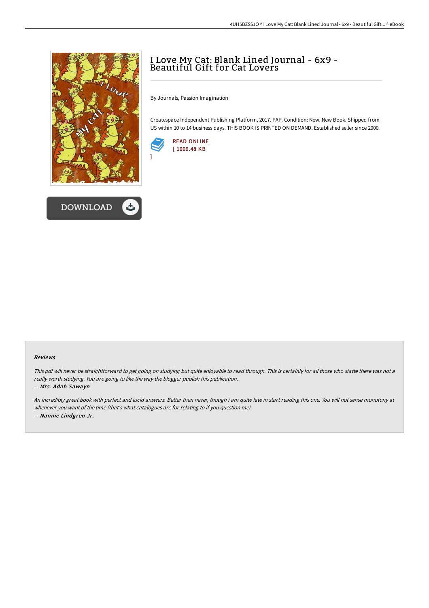



## I Love My Cat: Blank Lined Journal - 6x9 - Beautiful Gift for Cat Lovers

By Journals, Passion Imagination

Createspace Independent Publishing Platform, 2017. PAP. Condition: New. New Book. Shipped from US within 10 to 14 business days. THIS BOOK IS PRINTED ON DEMAND. Established seller since 2000.



]

## Reviews

This pdf will never be straightforward to get going on studying but quite enjoyable to read through. This is certainly for all those who statte there was not a really worth studying. You are going to like the way the blogger publish this publication.

## -- Mrs. Adah Sawayn

An incredibly great book with perfect and lucid answers. Better then never, though i am quite late in start reading this one. You will not sense monotony at whenever you want of the time (that's what catalogues are for relating to if you question me). -- Nannie Lindgren Jr.